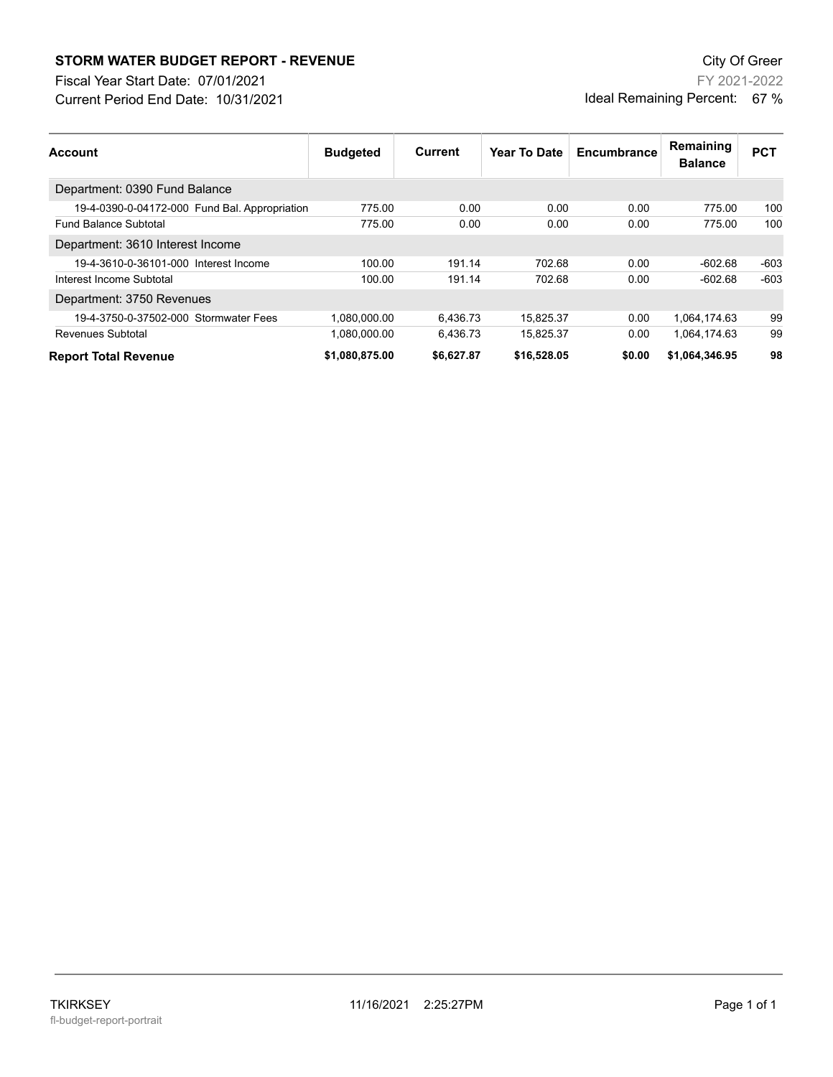## **STORM WATER BUDGET REPORT - REVENUE CONSUMPTER BUDGET REPORT - REVENUE**

Current Period End Date: 10/31/2021 Fiscal Year Start Date: 07/01/2021

FY 2021-2022 Ideal Remaining Percent: 67 %

| <b>Account</b>                                | <b>Budgeted</b> | <b>Current</b> | Year To Date | Encumbrance | Remaining<br><b>Balance</b> | <b>PCT</b> |
|-----------------------------------------------|-----------------|----------------|--------------|-------------|-----------------------------|------------|
| Department: 0390 Fund Balance                 |                 |                |              |             |                             |            |
| 19-4-0390-0-04172-000 Fund Bal. Appropriation | 775.00          | 0.00           | 0.00         | 0.00        | 775.00                      | 100        |
| <b>Fund Balance Subtotal</b>                  | 775.00          | 0.00           | 0.00         | 0.00        | 775.00                      | 100        |
| Department: 3610 Interest Income              |                 |                |              |             |                             |            |
| 19-4-3610-0-36101-000 Interest Income         | 100.00          | 191.14         | 702.68       | 0.00        | $-602.68$                   | $-603$     |
| Interest Income Subtotal                      | 100.00          | 191.14         | 702.68       | 0.00        | $-602.68$                   | $-603$     |
| Department: 3750 Revenues                     |                 |                |              |             |                             |            |
| 19-4-3750-0-37502-000 Stormwater Fees         | 1.080.000.00    | 6.436.73       | 15.825.37    | 0.00        | 1.064.174.63                | 99         |
| <b>Revenues Subtotal</b>                      | 1,080,000.00    | 6,436.73       | 15,825.37    | 0.00        | 1,064,174.63                | 99         |
| <b>Report Total Revenue</b>                   | \$1,080,875.00  | \$6,627.87     | \$16,528.05  | \$0.00      | \$1,064,346.95              | 98         |